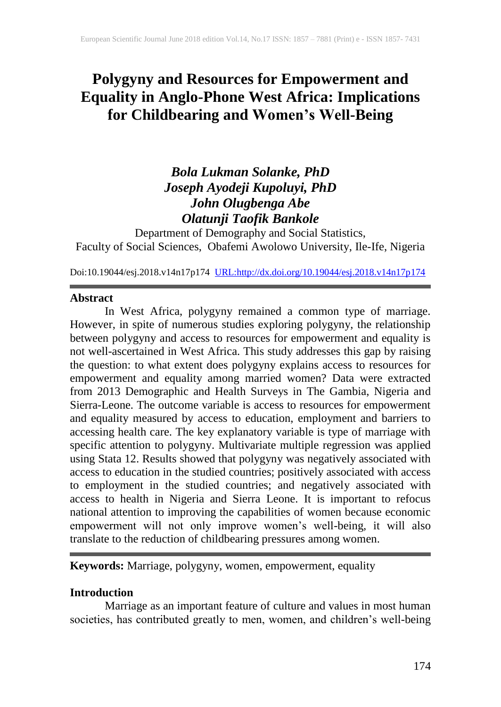# **Polygyny and Resources for Empowerment and Equality in Anglo-Phone West Africa: Implications for Childbearing and Women's Well-Being**

## *Bola Lukman Solanke, PhD Joseph Ayodeji Kupoluyi, PhD John Olugbenga Abe Olatunji Taofik Bankole*

Department of Demography and Social Statistics, Faculty of Social Sciences, Obafemi Awolowo University, Ile-Ife, Nigeria

Doi:10.19044/esj.2018.v14n17p174 [URL:http://dx.doi.org/10.19044/esj.2018.v14n17p174](http://dx.doi.org/10.19044/esj.2018.v14n17p174)

#### **Abstract**

In West Africa, polygyny remained a common type of marriage. However, in spite of numerous studies exploring polygyny, the relationship between polygyny and access to resources for empowerment and equality is not well-ascertained in West Africa. This study addresses this gap by raising the question: to what extent does polygyny explains access to resources for empowerment and equality among married women? Data were extracted from 2013 Demographic and Health Surveys in The Gambia, Nigeria and Sierra-Leone. The outcome variable is access to resources for empowerment and equality measured by access to education, employment and barriers to accessing health care. The key explanatory variable is type of marriage with specific attention to polygyny. Multivariate multiple regression was applied using Stata 12. Results showed that polygyny was negatively associated with access to education in the studied countries; positively associated with access to employment in the studied countries; and negatively associated with access to health in Nigeria and Sierra Leone. It is important to refocus national attention to improving the capabilities of women because economic empowerment will not only improve women's well-being, it will also translate to the reduction of childbearing pressures among women.

**Keywords:** Marriage, polygyny, women, empowerment, equality

## **Introduction**

Marriage as an important feature of culture and values in most human societies, has contributed greatly to men, women, and children's well-being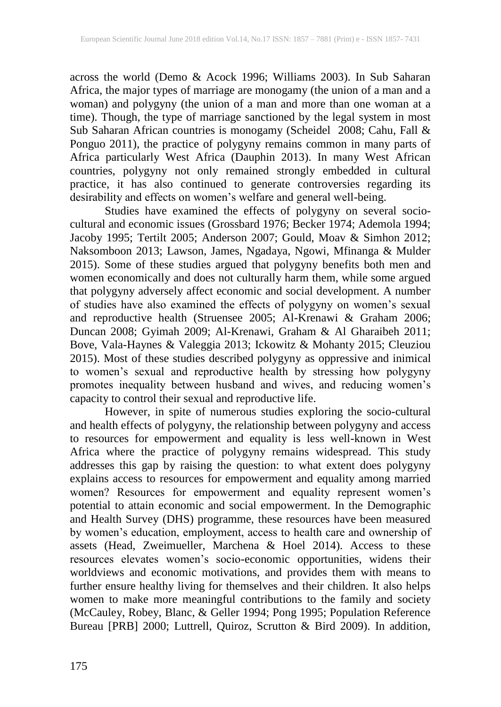across the world (Demo & Acock 1996; Williams 2003). In Sub Saharan Africa, the major types of marriage are monogamy (the union of a man and a woman) and polygyny (the union of a man and more than one woman at a time). Though, the type of marriage sanctioned by the legal system in most Sub Saharan African countries is monogamy (Scheidel 2008; Cahu, Fall & Ponguo 2011), the practice of polygyny remains common in many parts of Africa particularly West Africa (Dauphin 2013). In many West African countries, polygyny not only remained strongly embedded in cultural practice, it has also continued to generate controversies regarding its desirability and effects on women's welfare and general well-being.

Studies have examined the effects of polygyny on several sociocultural and economic issues (Grossbard 1976; Becker 1974; Ademola 1994; Jacoby 1995; Tertilt 2005; Anderson 2007; Gould, Moav & Simhon 2012; Naksomboon 2013; Lawson, James, Ngadaya, Ngowi, Mfinanga & Mulder 2015). Some of these studies argued that polygyny benefits both men and women economically and does not culturally harm them, while some argued that polygyny adversely affect economic and social development. A number of studies have also examined the effects of polygyny on women's sexual and reproductive health (Struensee 2005; Al-Krenawi & Graham 2006; Duncan 2008; Gyimah 2009; Al-Krenawi, Graham & Al Gharaibeh 2011; Bove, Vala-Haynes & Valeggia 2013; Ickowitz & Mohanty 2015; Cleuziou 2015). Most of these studies described polygyny as oppressive and inimical to women's sexual and reproductive health by stressing how polygyny promotes inequality between husband and wives, and reducing women's capacity to control their sexual and reproductive life.

However, in spite of numerous studies exploring the socio-cultural and health effects of polygyny, the relationship between polygyny and access to resources for empowerment and equality is less well-known in West Africa where the practice of polygyny remains widespread. This study addresses this gap by raising the question: to what extent does polygyny explains access to resources for empowerment and equality among married women? Resources for empowerment and equality represent women's potential to attain economic and social empowerment. In the Demographic and Health Survey (DHS) programme, these resources have been measured by women's education, employment, access to health care and ownership of assets (Head, Zweimueller, Marchena & Hoel 2014). Access to these resources elevates women's socio-economic opportunities, widens their worldviews and economic motivations, and provides them with means to further ensure healthy living for themselves and their children. It also helps women to make more meaningful contributions to the family and society (McCauley, Robey, Blanc, & Geller 1994; Pong 1995; Population Reference Bureau [PRB] 2000; Luttrell, Quiroz, Scrutton & Bird 2009). In addition,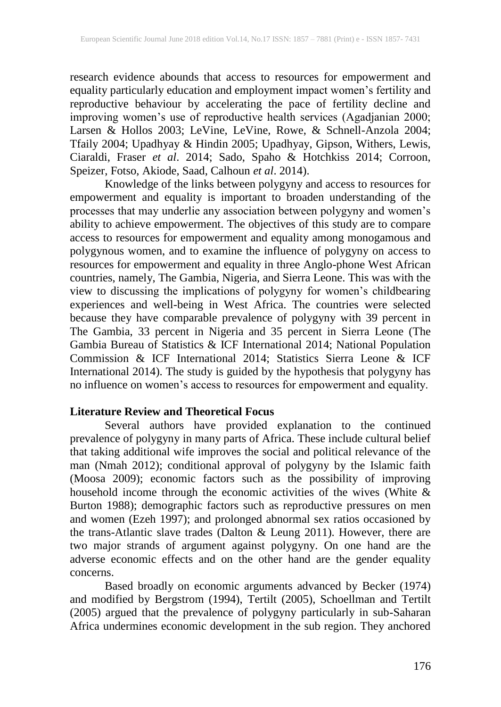research evidence abounds that access to resources for empowerment and equality particularly education and employment impact women's fertility and reproductive behaviour by accelerating the pace of fertility decline and improving women's use of reproductive health services (Agadjanian 2000; Larsen & Hollos 2003; LeVine, LeVine, Rowe, & Schnell-Anzola 2004; Tfaily 2004; Upadhyay & Hindin 2005; Upadhyay, Gipson, Withers, Lewis, Ciaraldi, Fraser *et al*. 2014; Sado, Spaho & Hotchkiss 2014; Corroon, Speizer, Fotso, Akiode, Saad, Calhoun *et al*. 2014).

Knowledge of the links between polygyny and access to resources for empowerment and equality is important to broaden understanding of the processes that may underlie any association between polygyny and women's ability to achieve empowerment. The objectives of this study are to compare access to resources for empowerment and equality among monogamous and polygynous women, and to examine the influence of polygyny on access to resources for empowerment and equality in three Anglo-phone West African countries, namely, The Gambia, Nigeria, and Sierra Leone. This was with the view to discussing the implications of polygyny for women's childbearing experiences and well-being in West Africa. The countries were selected because they have comparable prevalence of polygyny with 39 percent in The Gambia, 33 percent in Nigeria and 35 percent in Sierra Leone (The Gambia Bureau of Statistics & ICF International 2014; National Population Commission & ICF International 2014; Statistics Sierra Leone & ICF International 2014). The study is guided by the hypothesis that polygyny has no influence on women's access to resources for empowerment and equality.

## **Literature Review and Theoretical Focus**

Several authors have provided explanation to the continued prevalence of polygyny in many parts of Africa. These include cultural belief that taking additional wife improves the social and political relevance of the man (Nmah 2012); conditional approval of polygyny by the Islamic faith (Moosa 2009); economic factors such as the possibility of improving household income through the economic activities of the wives (White & Burton 1988); demographic factors such as reproductive pressures on men and women (Ezeh 1997); and prolonged abnormal sex ratios occasioned by the trans-Atlantic slave trades (Dalton & Leung 2011). However, there are two major strands of argument against polygyny. On one hand are the adverse economic effects and on the other hand are the gender equality concerns.

Based broadly on economic arguments advanced by Becker (1974) and modified by Bergstrom (1994), Tertilt (2005), Schoellman and Tertilt (2005) argued that the prevalence of polygyny particularly in sub-Saharan Africa undermines economic development in the sub region. They anchored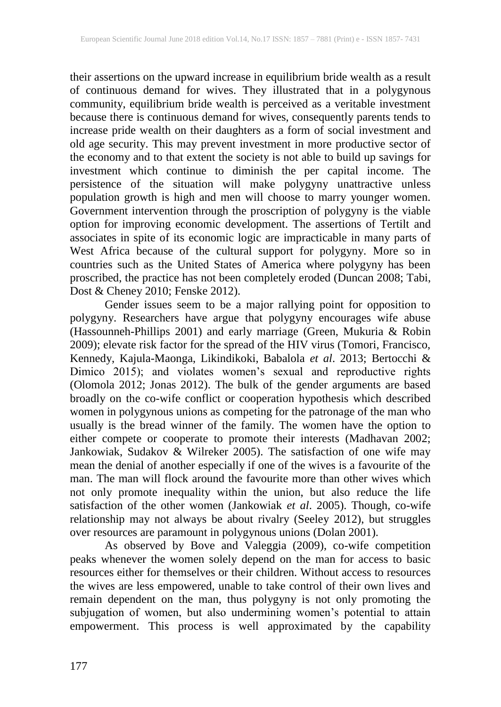their assertions on the upward increase in equilibrium bride wealth as a result of continuous demand for wives. They illustrated that in a polygynous community, equilibrium bride wealth is perceived as a veritable investment because there is continuous demand for wives, consequently parents tends to increase pride wealth on their daughters as a form of social investment and old age security. This may prevent investment in more productive sector of the economy and to that extent the society is not able to build up savings for investment which continue to diminish the per capital income. The persistence of the situation will make polygyny unattractive unless population growth is high and men will choose to marry younger women. Government intervention through the proscription of polygyny is the viable option for improving economic development. The assertions of Tertilt and associates in spite of its economic logic are impracticable in many parts of West Africa because of the cultural support for polygyny. More so in countries such as the United States of America where polygyny has been proscribed, the practice has not been completely eroded (Duncan 2008; Tabi, Dost & Cheney 2010; Fenske 2012).

Gender issues seem to be a major rallying point for opposition to polygyny. Researchers have argue that polygyny encourages wife abuse (Hassounneh-Phillips 2001) and early marriage (Green, Mukuria & Robin 2009); elevate risk factor for the spread of the HIV virus (Tomori, Francisco, Kennedy, Kajula-Maonga, Likindikoki, Babalola *et al*. 2013; Bertocchi & Dimico 2015); and violates women's sexual and reproductive rights (Olomola 2012; Jonas 2012). The bulk of the gender arguments are based broadly on the co-wife conflict or cooperation hypothesis which described women in polygynous unions as competing for the patronage of the man who usually is the bread winner of the family. The women have the option to either compete or cooperate to promote their interests (Madhavan 2002; Jankowiak, Sudakov & Wilreker 2005). The satisfaction of one wife may mean the denial of another especially if one of the wives is a favourite of the man. The man will flock around the favourite more than other wives which not only promote inequality within the union, but also reduce the life satisfaction of the other women (Jankowiak *et al*. 2005). Though, co-wife relationship may not always be about rivalry (Seeley 2012), but struggles over resources are paramount in polygynous unions (Dolan 2001).

As observed by Bove and Valeggia (2009), co-wife competition peaks whenever the women solely depend on the man for access to basic resources either for themselves or their children. Without access to resources the wives are less empowered, unable to take control of their own lives and remain dependent on the man, thus polygyny is not only promoting the subjugation of women, but also undermining women's potential to attain empowerment. This process is well approximated by the capability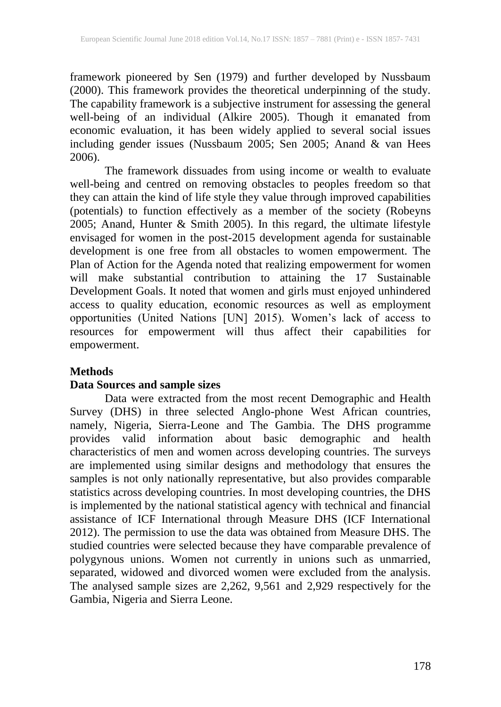framework pioneered by Sen (1979) and further developed by Nussbaum (2000). This framework provides the theoretical underpinning of the study. The capability framework is a subjective instrument for assessing the general well-being of an individual (Alkire 2005). Though it emanated from economic evaluation, it has been widely applied to several social issues including gender issues (Nussbaum 2005; Sen 2005; Anand & van Hees 2006).

The framework dissuades from using income or wealth to evaluate well-being and centred on removing obstacles to peoples freedom so that they can attain the kind of life style they value through improved capabilities (potentials) to function effectively as a member of the society (Robeyns 2005; Anand, Hunter & Smith 2005). In this regard, the ultimate lifestyle envisaged for women in the post-2015 development agenda for sustainable development is one free from all obstacles to women empowerment. The Plan of Action for the Agenda noted that realizing empowerment for women will make substantial contribution to attaining the 17 Sustainable Development Goals. It noted that women and girls must enjoyed unhindered access to quality education, economic resources as well as employment opportunities (United Nations [UN] 2015). Women's lack of access to resources for empowerment will thus affect their capabilities for empowerment.

## **Methods**

## **Data Sources and sample sizes**

Data were extracted from the most recent Demographic and Health Survey (DHS) in three selected Anglo-phone West African countries, namely, Nigeria, Sierra-Leone and The Gambia. The DHS programme provides valid information about basic demographic and health characteristics of men and women across developing countries. The surveys are implemented using similar designs and methodology that ensures the samples is not only nationally representative, but also provides comparable statistics across developing countries. In most developing countries, the DHS is implemented by the national statistical agency with technical and financial assistance of ICF International through Measure DHS (ICF International 2012). The permission to use the data was obtained from Measure DHS. The studied countries were selected because they have comparable prevalence of polygynous unions. Women not currently in unions such as unmarried, separated, widowed and divorced women were excluded from the analysis. The analysed sample sizes are 2,262, 9,561 and 2,929 respectively for the Gambia, Nigeria and Sierra Leone.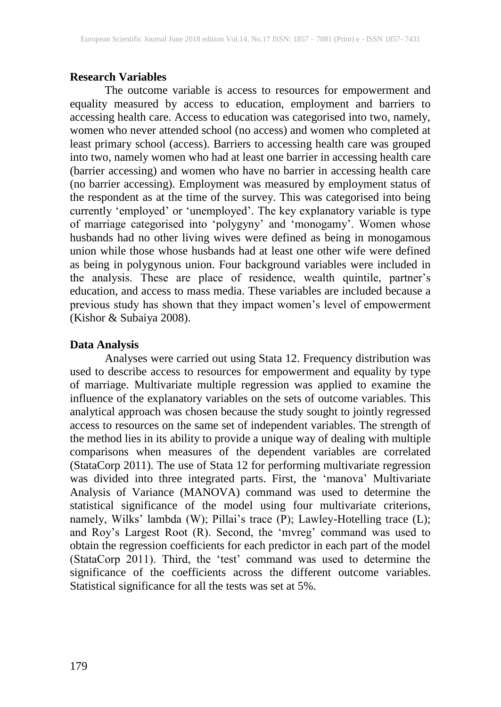#### **Research Variables**

The outcome variable is access to resources for empowerment and equality measured by access to education, employment and barriers to accessing health care. Access to education was categorised into two, namely, women who never attended school (no access) and women who completed at least primary school (access). Barriers to accessing health care was grouped into two, namely women who had at least one barrier in accessing health care (barrier accessing) and women who have no barrier in accessing health care (no barrier accessing). Employment was measured by employment status of the respondent as at the time of the survey. This was categorised into being currently 'employed' or 'unemployed'. The key explanatory variable is type of marriage categorised into 'polygyny' and 'monogamy'. Women whose husbands had no other living wives were defined as being in monogamous union while those whose husbands had at least one other wife were defined as being in polygynous union. Four background variables were included in the analysis. These are place of residence, wealth quintile, partner's education, and access to mass media. These variables are included because a previous study has shown that they impact women's level of empowerment (Kishor & Subaiya 2008).

#### **Data Analysis**

Analyses were carried out using Stata 12. Frequency distribution was used to describe access to resources for empowerment and equality by type of marriage. Multivariate multiple regression was applied to examine the influence of the explanatory variables on the sets of outcome variables. This analytical approach was chosen because the study sought to jointly regressed access to resources on the same set of independent variables. The strength of the method lies in its ability to provide a unique way of dealing with multiple comparisons when measures of the dependent variables are correlated (StataCorp 2011). The use of Stata 12 for performing multivariate regression was divided into three integrated parts. First, the 'manova' Multivariate Analysis of Variance (MANOVA) command was used to determine the statistical significance of the model using four multivariate criterions, namely, Wilks' lambda (W); Pillai's trace (P); Lawley-Hotelling trace (L); and Roy's Largest Root (R). Second, the 'mvreg' command was used to obtain the regression coefficients for each predictor in each part of the model (StataCorp 2011). Third, the 'test' command was used to determine the significance of the coefficients across the different outcome variables. Statistical significance for all the tests was set at 5%.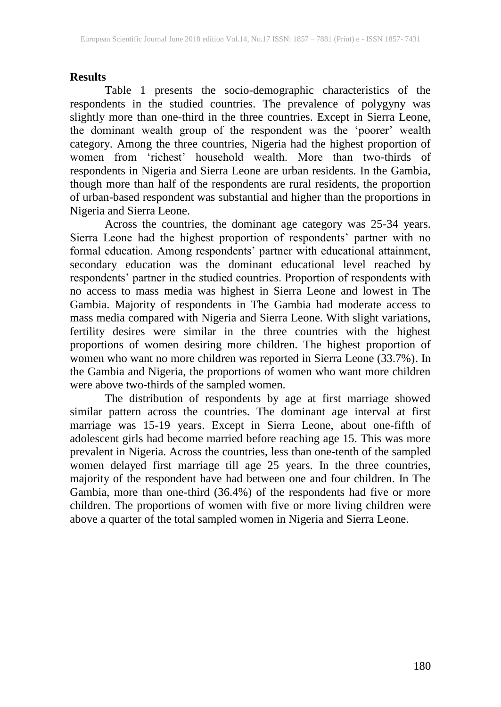## **Results**

Table 1 presents the socio-demographic characteristics of the respondents in the studied countries. The prevalence of polygyny was slightly more than one-third in the three countries. Except in Sierra Leone, the dominant wealth group of the respondent was the 'poorer' wealth category. Among the three countries, Nigeria had the highest proportion of women from 'richest' household wealth. More than two-thirds of respondents in Nigeria and Sierra Leone are urban residents. In the Gambia, though more than half of the respondents are rural residents, the proportion of urban-based respondent was substantial and higher than the proportions in Nigeria and Sierra Leone.

Across the countries, the dominant age category was 25-34 years. Sierra Leone had the highest proportion of respondents' partner with no formal education. Among respondents' partner with educational attainment, secondary education was the dominant educational level reached by respondents' partner in the studied countries. Proportion of respondents with no access to mass media was highest in Sierra Leone and lowest in The Gambia. Majority of respondents in The Gambia had moderate access to mass media compared with Nigeria and Sierra Leone. With slight variations, fertility desires were similar in the three countries with the highest proportions of women desiring more children. The highest proportion of women who want no more children was reported in Sierra Leone (33.7%). In the Gambia and Nigeria, the proportions of women who want more children were above two-thirds of the sampled women.

The distribution of respondents by age at first marriage showed similar pattern across the countries. The dominant age interval at first marriage was 15-19 years. Except in Sierra Leone, about one-fifth of adolescent girls had become married before reaching age 15. This was more prevalent in Nigeria. Across the countries, less than one-tenth of the sampled women delayed first marriage till age 25 years. In the three countries, majority of the respondent have had between one and four children. In The Gambia, more than one-third (36.4%) of the respondents had five or more children. The proportions of women with five or more living children were above a quarter of the total sampled women in Nigeria and Sierra Leone.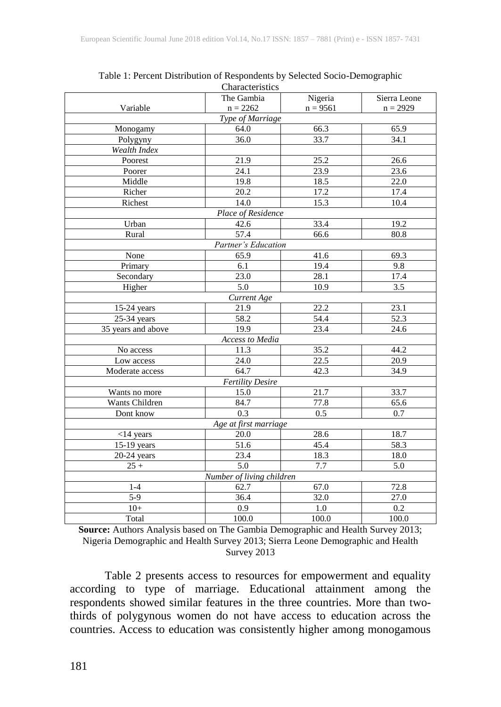|                    | Characteristics           |                   |              |  |  |  |  |  |  |  |
|--------------------|---------------------------|-------------------|--------------|--|--|--|--|--|--|--|
|                    | The Gambia                | Nigeria           | Sierra Leone |  |  |  |  |  |  |  |
| Variable           | $n = 2262$                | $n = 9561$        | $n = 2929$   |  |  |  |  |  |  |  |
|                    | Type of Marriage          |                   |              |  |  |  |  |  |  |  |
| Monogamy           | 64.0                      | 66.3              | 65.9         |  |  |  |  |  |  |  |
| Polygyny           | 36.0                      | 33.7              | 34.1         |  |  |  |  |  |  |  |
| Wealth Index       |                           |                   |              |  |  |  |  |  |  |  |
| Poorest            | 21.9                      | 25.2              | 26.6         |  |  |  |  |  |  |  |
| Poorer             | 24.1                      | 23.9              | 23.6         |  |  |  |  |  |  |  |
| Middle             | 19.8                      | 18.5              | 22.0         |  |  |  |  |  |  |  |
| Richer             | 20.2                      | 17.2              | 17.4         |  |  |  |  |  |  |  |
| Richest            | 14.0                      | 15.3              | 10.4         |  |  |  |  |  |  |  |
|                    | Place of Residence        |                   |              |  |  |  |  |  |  |  |
| Urban              | 42.6                      | 33.4              | 19.2         |  |  |  |  |  |  |  |
| Rural              | 57.4                      | 66.6              | 80.8         |  |  |  |  |  |  |  |
|                    | Partner's Education       |                   |              |  |  |  |  |  |  |  |
| None               | 65.9                      | 41.6              | 69.3         |  |  |  |  |  |  |  |
| Primary            | 6.1                       | 19.4              | 9.8          |  |  |  |  |  |  |  |
| Secondary          | 23.0                      | 28.1              | 17.4         |  |  |  |  |  |  |  |
| Higher             | 5.0                       | 10.9              | 3.5          |  |  |  |  |  |  |  |
|                    | Current Age               |                   |              |  |  |  |  |  |  |  |
| $15-24$ years      | 21.9                      | 22.2              | 23.1         |  |  |  |  |  |  |  |
| 25-34 years        | 58.2                      | 54.4              | 52.3         |  |  |  |  |  |  |  |
| 35 years and above | 19.9                      | 23.4              | 24.6         |  |  |  |  |  |  |  |
| Access to Media    |                           |                   |              |  |  |  |  |  |  |  |
| No access          | 11.3                      | 35.2              | 44.2         |  |  |  |  |  |  |  |
| Low access         | 24.0                      | $\overline{22.5}$ | 20.9         |  |  |  |  |  |  |  |
| Moderate access    | 64.7                      | 42.3              | 34.9         |  |  |  |  |  |  |  |
|                    | <b>Fertility Desire</b>   |                   |              |  |  |  |  |  |  |  |
| Wants no more      | 15.0                      | 21.7              | 33.7         |  |  |  |  |  |  |  |
| Wants Children     | 84.7                      | 77.8              | 65.6         |  |  |  |  |  |  |  |
| Dont know          | 0.3                       | 0.5               | 0.7          |  |  |  |  |  |  |  |
|                    | Age at first marriage     |                   |              |  |  |  |  |  |  |  |
| $<$ 14 years       | 20.0                      | 28.6              | 18.7         |  |  |  |  |  |  |  |
| 15-19 years        | 51.6                      | 45.4              | 58.3         |  |  |  |  |  |  |  |
| $20-24$ years      | 23.4                      | 18.3              | 18.0         |  |  |  |  |  |  |  |
| $25 +$             | 5.0                       | 7.7               | 5.0          |  |  |  |  |  |  |  |
|                    | Number of living children |                   |              |  |  |  |  |  |  |  |
| $1 - 4$            | 62.7                      | 67.0              | 72.8         |  |  |  |  |  |  |  |
| $\overline{5-9}$   | 36.4                      | 32.0              | 27.0         |  |  |  |  |  |  |  |
| $10+$              | 0.9                       | 1.0               | 0.2          |  |  |  |  |  |  |  |
| Total              | 100.0                     | 100.0             | 100.0        |  |  |  |  |  |  |  |

Table 1: Percent Distribution of Respondents by Selected Socio-Demographic Characteristics

**Source:** Authors Analysis based on The Gambia Demographic and Health Survey 2013; Nigeria Demographic and Health Survey 2013; Sierra Leone Demographic and Health Survey 2013

Table 2 presents access to resources for empowerment and equality according to type of marriage. Educational attainment among the respondents showed similar features in the three countries. More than twothirds of polygynous women do not have access to education across the countries. Access to education was consistently higher among monogamous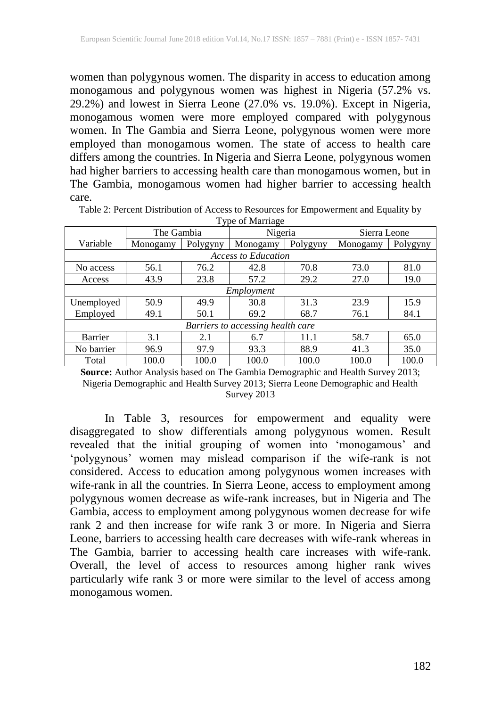women than polygynous women. The disparity in access to education among monogamous and polygynous women was highest in Nigeria (57.2% vs. 29.2%) and lowest in Sierra Leone (27.0% vs. 19.0%). Except in Nigeria, monogamous women were more employed compared with polygynous women. In The Gambia and Sierra Leone, polygynous women were more employed than monogamous women. The state of access to health care differs among the countries. In Nigeria and Sierra Leone, polygynous women had higher barriers to accessing health care than monogamous women, but in The Gambia, monogamous women had higher barrier to accessing health care.

| I vpe of malitage                 |            |          |          |          |              |          |  |  |
|-----------------------------------|------------|----------|----------|----------|--------------|----------|--|--|
|                                   | The Gambia |          | Nigeria  |          | Sierra Leone |          |  |  |
| Variable                          | Monogamy   | Polygyny | Monogamy | Polygyny | Monogamy     | Polygyny |  |  |
| <b>Access to Education</b>        |            |          |          |          |              |          |  |  |
| No access                         | 56.1       | 76.2     | 42.8     | 70.8     | 73.0         | 81.0     |  |  |
| Access                            | 43.9       | 23.8     | 57.2     | 29.2     | 27.0         | 19.0     |  |  |
| Employment                        |            |          |          |          |              |          |  |  |
| Unemployed                        | 50.9       | 49.9     | 30.8     | 31.3     | 23.9         | 15.9     |  |  |
| Employed                          | 49.1       | 50.1     | 69.2     | 68.7     | 76.1         | 84.1     |  |  |
| Barriers to accessing health care |            |          |          |          |              |          |  |  |
| Barrier                           | 3.1        | 2.1      | 6.7      | 11.1     | 58.7         | 65.0     |  |  |
| No barrier                        | 96.9       | 97.9     | 93.3     | 88.9     | 41.3         | 35.0     |  |  |
| Total                             | 100.0      | 100.0    | 100.0    | 100.0    | 100.0        | 100.0    |  |  |

Table 2: Percent Distribution of Access to Resources for Empowerment and Equality by Type of Marriage

**Source:** Author Analysis based on The Gambia Demographic and Health Survey 2013; Nigeria Demographic and Health Survey 2013; Sierra Leone Demographic and Health Survey 2013

In Table 3, resources for empowerment and equality were disaggregated to show differentials among polygynous women. Result revealed that the initial grouping of women into 'monogamous' and 'polygynous' women may mislead comparison if the wife-rank is not considered. Access to education among polygynous women increases with wife-rank in all the countries. In Sierra Leone, access to employment among polygynous women decrease as wife-rank increases, but in Nigeria and The Gambia, access to employment among polygynous women decrease for wife rank 2 and then increase for wife rank 3 or more. In Nigeria and Sierra Leone, barriers to accessing health care decreases with wife-rank whereas in The Gambia, barrier to accessing health care increases with wife-rank. Overall, the level of access to resources among higher rank wives particularly wife rank 3 or more were similar to the level of access among monogamous women.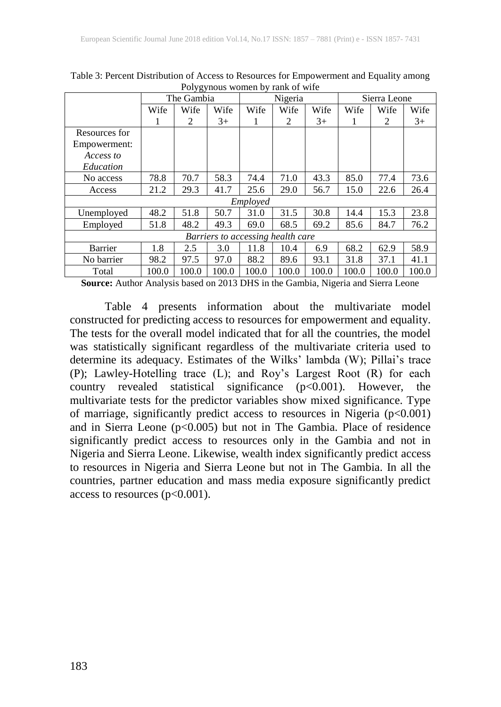|                                   | נס נ<br>The Gambia |                |       | Nigeria |                             |       | Sierra Leone |       |       |
|-----------------------------------|--------------------|----------------|-------|---------|-----------------------------|-------|--------------|-------|-------|
|                                   | Wife               | Wife           | Wife  | Wife    | Wife                        | Wife  | Wife         | Wife  | Wife  |
|                                   |                    | $\mathfrak{D}$ | $3+$  |         | $\mathcal{D}_{\mathcal{L}}$ | $3+$  | 1            | 2     | $3+$  |
| Resources for                     |                    |                |       |         |                             |       |              |       |       |
| Empowerment:                      |                    |                |       |         |                             |       |              |       |       |
| Access to                         |                    |                |       |         |                             |       |              |       |       |
| Education                         |                    |                |       |         |                             |       |              |       |       |
| No access                         | 78.8               | 70.7           | 58.3  | 74.4    | 71.0                        | 43.3  | 85.0         | 77.4  | 73.6  |
| Access                            | 21.2               | 29.3           | 41.7  | 25.6    | 29.0                        | 56.7  | 15.0         | 22.6  | 26.4  |
|                                   | Employed           |                |       |         |                             |       |              |       |       |
| Unemployed                        | 48.2               | 51.8           | 50.7  | 31.0    | 31.5                        | 30.8  | 14.4         | 15.3  | 23.8  |
| Employed                          | 51.8               | 48.2           | 49.3  | 69.0    | 68.5                        | 69.2  | 85.6         | 84.7  | 76.2  |
| Barriers to accessing health care |                    |                |       |         |                             |       |              |       |       |
| Barrier                           | 1.8                | 2.5            | 3.0   | 11.8    | 10.4                        | 6.9   | 68.2         | 62.9  | 58.9  |
| No barrier                        | 98.2               | 97.5           | 97.0  | 88.2    | 89.6                        | 93.1  | 31.8         | 37.1  | 41.1  |
| Total                             | 100.0              | 100.0          | 100.0 | 100.0   | 100.0                       | 100.0 | 100.0        | 100.0 | 100.0 |

Table 3: Percent Distribution of Access to Resources for Empowerment and Equality among Polygynous women by rank of wife

**Source:** Author Analysis based on 2013 DHS in the Gambia, Nigeria and Sierra Leone

Table 4 presents information about the multivariate model constructed for predicting access to resources for empowerment and equality. The tests for the overall model indicated that for all the countries, the model was statistically significant regardless of the multivariate criteria used to determine its adequacy. Estimates of the Wilks' lambda (W); Pillai's trace (P); Lawley-Hotelling trace (L); and Roy's Largest Root (R) for each country revealed statistical significance (p<0.001). However, the multivariate tests for the predictor variables show mixed significance. Type of marriage, significantly predict access to resources in Nigeria (p<0.001) and in Sierra Leone (p<0.005) but not in The Gambia. Place of residence significantly predict access to resources only in the Gambia and not in Nigeria and Sierra Leone. Likewise, wealth index significantly predict access to resources in Nigeria and Sierra Leone but not in The Gambia. In all the countries, partner education and mass media exposure significantly predict access to resources ( $p<0.001$ ).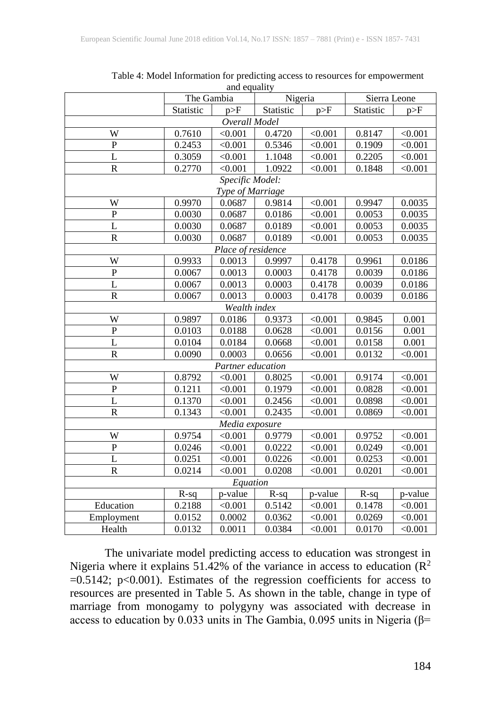|                         | The Gambia   |                    | Nigeria   |         | Sierra Leone |         |  |  |  |  |
|-------------------------|--------------|--------------------|-----------|---------|--------------|---------|--|--|--|--|
|                         | Statistic    | p>F                | Statistic | p>F     | Statistic    | p>F     |  |  |  |  |
| Overall Model           |              |                    |           |         |              |         |  |  |  |  |
| W                       | 0.7610       | < 0.001            | 0.4720    | < 0.001 | 0.8147       | < 0.001 |  |  |  |  |
| $\mathbf P$             | 0.2453       | < 0.001            | 0.5346    | < 0.001 | 0.1909       | < 0.001 |  |  |  |  |
| $\overline{L}$          | 0.3059       | < 0.001            | 1.1048    | < 0.001 | 0.2205       | < 0.001 |  |  |  |  |
| $\overline{\text{R}}$   | 0.2770       | < 0.001            | 1.0922    | < 0.001 | 0.1848       | < 0.001 |  |  |  |  |
| Specific Model:         |              |                    |           |         |              |         |  |  |  |  |
| Type of Marriage        |              |                    |           |         |              |         |  |  |  |  |
| W                       | 0.9970       | 0.0687             | 0.9814    | < 0.001 | 0.9947       | 0.0035  |  |  |  |  |
| $\overline{P}$          | 0.0030       | 0.0687             | 0.0186    | < 0.001 | 0.0053       | 0.0035  |  |  |  |  |
| $\overline{L}$          | 0.0030       | 0.0687             | 0.0189    | < 0.001 | 0.0053       | 0.0035  |  |  |  |  |
| $\overline{\text{R}}$   | 0.0030       | 0.0687             | 0.0189    | < 0.001 | 0.0053       | 0.0035  |  |  |  |  |
|                         |              | Place of residence |           |         |              |         |  |  |  |  |
| W                       | 0.9933       | 0.0013             | 0.9997    | 0.4178  | 0.9961       | 0.0186  |  |  |  |  |
| $\mathbf P$             | 0.0067       | 0.0013             | 0.0003    | 0.4178  | 0.0039       | 0.0186  |  |  |  |  |
| L                       | 0.0067       | 0.0013             | 0.0003    | 0.4178  | 0.0039       | 0.0186  |  |  |  |  |
| $\mathbf R$             | 0.0067       | 0.0013             | 0.0003    | 0.4178  | 0.0039       | 0.0186  |  |  |  |  |
|                         | Wealth index |                    |           |         |              |         |  |  |  |  |
| W                       | 0.9897       | 0.0186             | 0.9373    | < 0.001 | 0.9845       | 0.001   |  |  |  |  |
| $\overline{P}$          | 0.0103       | 0.0188             | 0.0628    | < 0.001 | 0.0156       | 0.001   |  |  |  |  |
| L                       | 0.0104       | 0.0184             | 0.0668    | < 0.001 | 0.0158       | 0.001   |  |  |  |  |
| $\overline{\mathsf{R}}$ | 0.0090       | 0.0003             | 0.0656    | < 0.001 | 0.0132       | < 0.001 |  |  |  |  |
|                         |              | Partner education  |           |         |              |         |  |  |  |  |
| W                       | 0.8792       | < 0.001            | 0.8025    | < 0.001 | 0.9174       | < 0.001 |  |  |  |  |
| $\mathbf P$             | 0.1211       | < 0.001            | 0.1979    | < 0.001 | 0.0828       | < 0.001 |  |  |  |  |
| $\overline{L}$          | 0.1370       | < 0.001            | 0.2456    | < 0.001 | 0.0898       | < 0.001 |  |  |  |  |
| $\overline{\text{R}}$   | 0.1343       | < 0.001            | 0.2435    | < 0.001 | 0.0869       | < 0.001 |  |  |  |  |
|                         |              | Media exposure     |           |         |              |         |  |  |  |  |
| W                       | 0.9754       | < 0.001            | 0.9779    | < 0.001 | 0.9752       | < 0.001 |  |  |  |  |
| $\mathbf P$             | 0.0246       | < 0.001            | 0.0222    | < 0.001 | 0.0249       | < 0.001 |  |  |  |  |
| $\overline{L}$          | 0.0251       | < 0.001            | 0.0226    | < 0.001 | 0.0253       | < 0.001 |  |  |  |  |
| $\mathbf R$             | 0.0214       | < 0.001            | 0.0208    | < 0.001 | 0.0201       | < 0.001 |  |  |  |  |
|                         |              | Equation           |           |         |              |         |  |  |  |  |
|                         | $R-sq$       | p-value            | $R-sq$    | p-value | $R-sq$       | p-value |  |  |  |  |
| Education               | 0.2188       | < 0.001            | 0.5142    | < 0.001 | 0.1478       | < 0.001 |  |  |  |  |
| Employment              | 0.0152       | 0.0002             | 0.0362    | < 0.001 | 0.0269       | < 0.001 |  |  |  |  |
| Health                  | 0.0132       | 0.0011             | 0.0384    | < 0.001 | 0.0170       | < 0.001 |  |  |  |  |

Table 4: Model Information for predicting access to resources for empowerment and equality

The univariate model predicting access to education was strongest in Nigeria where it explains 51.42% of the variance in access to education  $(R^2)$  $=0.5142$ ; p<0.001). Estimates of the regression coefficients for access to resources are presented in Table 5. As shown in the table, change in type of marriage from monogamy to polygyny was associated with decrease in access to education by 0.033 units in The Gambia, 0.095 units in Nigeria (β=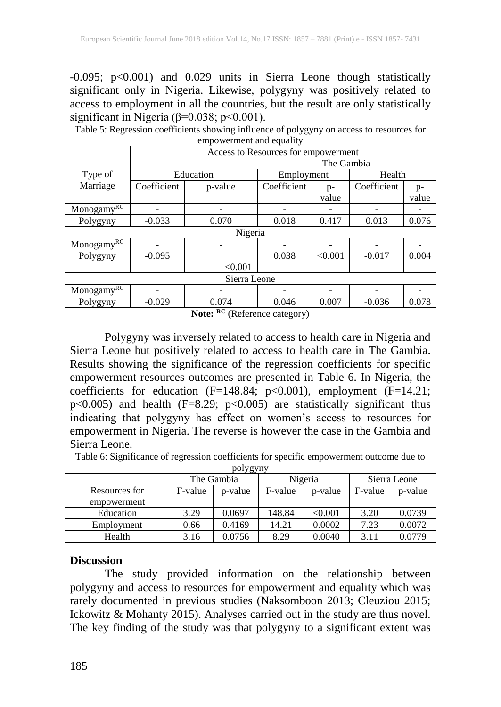-0.095; p<0.001) and 0.029 units in Sierra Leone though statistically significant only in Nigeria. Likewise, polygyny was positively related to access to employment in all the countries, but the result are only statistically significant in Nigeria (β=0.038; p<0.001).

Table 5: Regression coefficients showing influence of polygyny on access to resources for empowerment and equality

|              | Access to Resources for empowerment |                       |             |         |             |       |  |  |
|--------------|-------------------------------------|-----------------------|-------------|---------|-------------|-------|--|--|
|              | The Gambia                          |                       |             |         |             |       |  |  |
| Type of      |                                     | Education             | Employment  |         | Health      |       |  |  |
| Marriage     | Coefficient                         | p-value               | Coefficient | $p-$    | Coefficient | p-    |  |  |
|              |                                     |                       |             | value   |             | value |  |  |
| MonogamyRC   |                                     |                       |             |         |             |       |  |  |
| Polygyny     | $-0.033$                            | 0.070                 | 0.018       | 0.417   | 0.013       | 0.076 |  |  |
| Nigeria      |                                     |                       |             |         |             |       |  |  |
| MonogamyRC   |                                     |                       |             |         |             |       |  |  |
| Polygyny     | $-0.095$                            |                       | 0.038       | < 0.001 | $-0.017$    | 0.004 |  |  |
|              |                                     | < 0.001               |             |         |             |       |  |  |
| Sierra Leone |                                     |                       |             |         |             |       |  |  |
| MonogamyRC   |                                     |                       |             |         |             |       |  |  |
| Polygyny     | $-0.029$                            | 0.074<br>$\mathbf{r}$ | 0.046       | 0.007   | $-0.036$    | 0.078 |  |  |

**Note: RC** (Reference category)

Polygyny was inversely related to access to health care in Nigeria and Sierra Leone but positively related to access to health care in The Gambia. Results showing the significance of the regression coefficients for specific empowerment resources outcomes are presented in Table 6. In Nigeria, the coefficients for education  $(F=148.84; p<0.001)$ , employment  $(F=14.21;$ p<0.005) and health (F=8.29; p<0.005) are statistically significant thus indicating that polygyny has effect on women's access to resources for empowerment in Nigeria. The reverse is however the case in the Gambia and Sierra Leone.

Table 6: Significance of regression coefficients for specific empowerment outcome due to polygyny

| J OJ          |            |         |         |         |              |         |  |  |  |
|---------------|------------|---------|---------|---------|--------------|---------|--|--|--|
|               | The Gambia |         |         | Nigeria | Sierra Leone |         |  |  |  |
| Resources for | F-value    | p-value | F-value | p-value | F-value      | p-value |  |  |  |
| empowerment   |            |         |         |         |              |         |  |  |  |
| Education     | 3.29       | 0.0697  | 148.84  | < 0.001 | 3.20         | 0.0739  |  |  |  |
| Employment    | 0.66       | 0.4169  | 14.21   | 0.0002  | 7.23         | 0.0072  |  |  |  |
| Health        | 3.16       | 0.0756  | 8.29    | 0.0040  | 3.11         | 0.0779  |  |  |  |

#### **Discussion**

The study provided information on the relationship between polygyny and access to resources for empowerment and equality which was rarely documented in previous studies (Naksomboon 2013; Cleuziou 2015; Ickowitz & Mohanty 2015). Analyses carried out in the study are thus novel. The key finding of the study was that polygyny to a significant extent was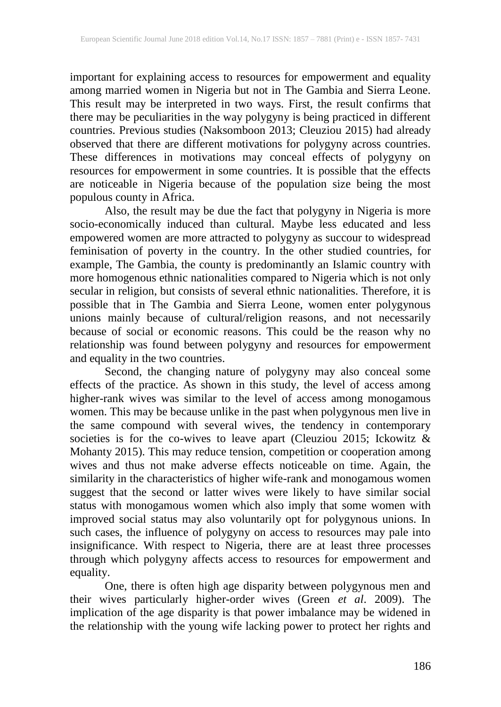important for explaining access to resources for empowerment and equality among married women in Nigeria but not in The Gambia and Sierra Leone. This result may be interpreted in two ways. First, the result confirms that there may be peculiarities in the way polygyny is being practiced in different countries. Previous studies (Naksomboon 2013; Cleuziou 2015) had already observed that there are different motivations for polygyny across countries. These differences in motivations may conceal effects of polygyny on resources for empowerment in some countries. It is possible that the effects are noticeable in Nigeria because of the population size being the most populous county in Africa.

Also, the result may be due the fact that polygyny in Nigeria is more socio-economically induced than cultural. Maybe less educated and less empowered women are more attracted to polygyny as succour to widespread feminisation of poverty in the country. In the other studied countries, for example, The Gambia, the county is predominantly an Islamic country with more homogenous ethnic nationalities compared to Nigeria which is not only secular in religion, but consists of several ethnic nationalities. Therefore, it is possible that in The Gambia and Sierra Leone, women enter polygynous unions mainly because of cultural/religion reasons, and not necessarily because of social or economic reasons. This could be the reason why no relationship was found between polygyny and resources for empowerment and equality in the two countries.

Second, the changing nature of polygyny may also conceal some effects of the practice. As shown in this study, the level of access among higher-rank wives was similar to the level of access among monogamous women. This may be because unlike in the past when polygynous men live in the same compound with several wives, the tendency in contemporary societies is for the co-wives to leave apart (Cleuziou 2015; Ickowitz & Mohanty 2015). This may reduce tension, competition or cooperation among wives and thus not make adverse effects noticeable on time. Again, the similarity in the characteristics of higher wife-rank and monogamous women suggest that the second or latter wives were likely to have similar social status with monogamous women which also imply that some women with improved social status may also voluntarily opt for polygynous unions. In such cases, the influence of polygyny on access to resources may pale into insignificance. With respect to Nigeria, there are at least three processes through which polygyny affects access to resources for empowerment and equality.

One, there is often high age disparity between polygynous men and their wives particularly higher-order wives (Green *et al*. 2009). The implication of the age disparity is that power imbalance may be widened in the relationship with the young wife lacking power to protect her rights and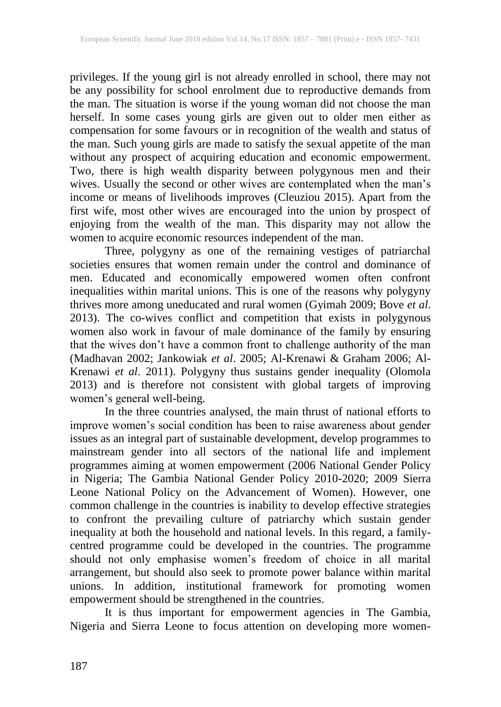privileges. If the young girl is not already enrolled in school, there may not be any possibility for school enrolment due to reproductive demands from the man. The situation is worse if the young woman did not choose the man herself. In some cases young girls are given out to older men either as compensation for some favours or in recognition of the wealth and status of the man. Such young girls are made to satisfy the sexual appetite of the man without any prospect of acquiring education and economic empowerment. Two, there is high wealth disparity between polygynous men and their wives. Usually the second or other wives are contemplated when the man's income or means of livelihoods improves (Cleuziou 2015). Apart from the first wife, most other wives are encouraged into the union by prospect of enjoying from the wealth of the man. This disparity may not allow the women to acquire economic resources independent of the man.

Three, polygyny as one of the remaining vestiges of patriarchal societies ensures that women remain under the control and dominance of men. Educated and economically empowered women often confront inequalities within marital unions. This is one of the reasons why polygyny thrives more among uneducated and rural women (Gyimah 2009; Bove *et al*. 2013). The co-wives conflict and competition that exists in polygynous women also work in favour of male dominance of the family by ensuring that the wives don't have a common front to challenge authority of the man (Madhavan 2002; Jankowiak *et al*. 2005; Al-Krenawi & Graham 2006; Al-Krenawi *et al*. 2011). Polygyny thus sustains gender inequality (Olomola 2013) and is therefore not consistent with global targets of improving women's general well-being.

In the three countries analysed, the main thrust of national efforts to improve women's social condition has been to raise awareness about gender issues as an integral part of sustainable development, develop programmes to mainstream gender into all sectors of the national life and implement programmes aiming at women empowerment (2006 National Gender Policy in Nigeria; The Gambia National Gender Policy 2010-2020; 2009 Sierra Leone National Policy on the Advancement of Women). However, one common challenge in the countries is inability to develop effective strategies to confront the prevailing culture of patriarchy which sustain gender inequality at both the household and national levels. In this regard, a familycentred programme could be developed in the countries. The programme should not only emphasise women's freedom of choice in all marital arrangement, but should also seek to promote power balance within marital unions. In addition, institutional framework for promoting women empowerment should be strengthened in the countries.

It is thus important for empowerment agencies in The Gambia, Nigeria and Sierra Leone to focus attention on developing more women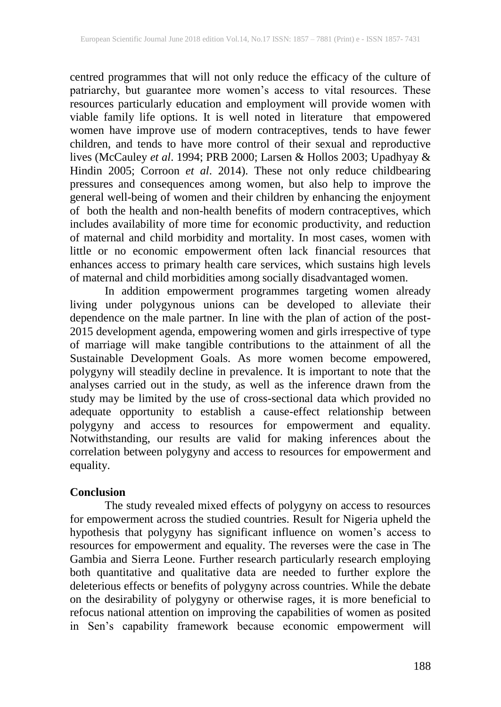centred programmes that will not only reduce the efficacy of the culture of patriarchy, but guarantee more women's access to vital resources. These resources particularly education and employment will provide women with viable family life options. It is well noted in literature that empowered women have improve use of modern contraceptives, tends to have fewer children, and tends to have more control of their sexual and reproductive lives (McCauley *et al*. 1994; PRB 2000; Larsen & Hollos 2003; Upadhyay & Hindin 2005; Corroon *et al*. 2014). These not only reduce childbearing pressures and consequences among women, but also help to improve the general well-being of women and their children by enhancing the enjoyment of both the health and non-health benefits of modern contraceptives, which includes availability of more time for economic productivity, and reduction of maternal and child morbidity and mortality. In most cases, women with little or no economic empowerment often lack financial resources that enhances access to primary health care services, which sustains high levels of maternal and child morbidities among socially disadvantaged women.

In addition empowerment programmes targeting women already living under polygynous unions can be developed to alleviate their dependence on the male partner. In line with the plan of action of the post-2015 development agenda, empowering women and girls irrespective of type of marriage will make tangible contributions to the attainment of all the Sustainable Development Goals. As more women become empowered, polygyny will steadily decline in prevalence. It is important to note that the analyses carried out in the study, as well as the inference drawn from the study may be limited by the use of cross-sectional data which provided no adequate opportunity to establish a cause-effect relationship between polygyny and access to resources for empowerment and equality. Notwithstanding, our results are valid for making inferences about the correlation between polygyny and access to resources for empowerment and equality.

## **Conclusion**

The study revealed mixed effects of polygyny on access to resources for empowerment across the studied countries. Result for Nigeria upheld the hypothesis that polygyny has significant influence on women's access to resources for empowerment and equality. The reverses were the case in The Gambia and Sierra Leone. Further research particularly research employing both quantitative and qualitative data are needed to further explore the deleterious effects or benefits of polygyny across countries. While the debate on the desirability of polygyny or otherwise rages, it is more beneficial to refocus national attention on improving the capabilities of women as posited in Sen's capability framework because economic empowerment will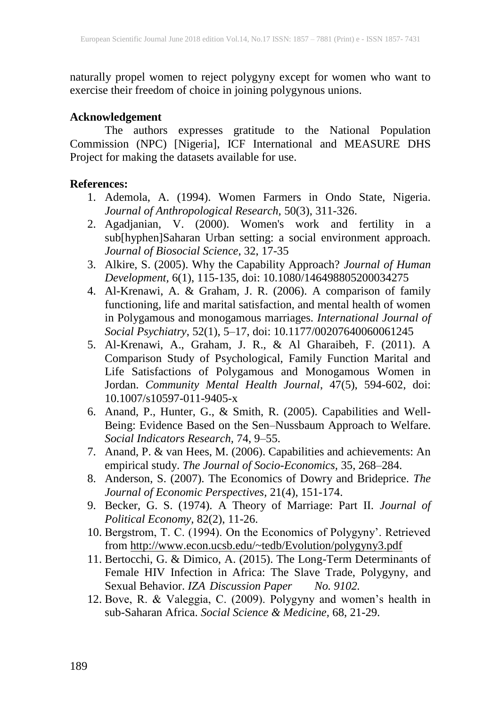naturally propel women to reject polygyny except for women who want to exercise their freedom of choice in joining polygynous unions.

## **Acknowledgement**

The authors expresses gratitude to the National Population Commission (NPC) [Nigeria], ICF International and MEASURE DHS Project for making the datasets available for use.

## **References:**

- 1. Ademola, A. (1994). Women Farmers in Ondo State, Nigeria. *Journal of Anthropological Research,* 50(3), 311-326.
- 2. Agadjanian, V. (2000). Women's work and fertility in a sub[hyphen]Saharan Urban setting: a social environment approach. *Journal of Biosocial Science*, 32, 17-35
- 3. Alkire, S. (2005). Why the Capability Approach? *Journal of Human Development,* 6(1), 115-135, doi: 10.1080/146498805200034275
- 4. Al-Krenawi, A. & Graham, J. R. (2006). A comparison of family functioning, life and marital satisfaction, and mental health of women in Polygamous and monogamous marriages. *International Journal of Social Psychiatry*, 52(1), 5–17, doi: 10.1177/00207640060061245
- 5. Al-Krenawi, A., Graham, J. R., & Al Gharaibeh, F. (2011). A Comparison Study of Psychological, Family Function Marital and Life Satisfactions of Polygamous and Monogamous Women in Jordan. *Community Mental Health Journal*, 47(5), 594-602, doi: 10.1007/s10597-011-9405-x
- 6. Anand, P., Hunter, G., & Smith, R. (2005). Capabilities and Well-Being: Evidence Based on the Sen–Nussbaum Approach to Welfare. *Social Indicators Research,* 74, 9–55.
- 7. Anand, P. & van Hees, M. (2006). Capabilities and achievements: An empirical study. *The Journal of Socio-Economics,* 35, 268–284.
- 8. Anderson, S. (2007). The Economics of Dowry and Brideprice. *The Journal of Economic Perspectives,* 21(4), 151-174.
- 9. Becker, G. S. (1974). A Theory of Marriage: Part II. *Journal of Political Economy,* 82(2), 11-26.
- 10. Bergstrom, T. C. (1994). On the Economics of Polygyny'. Retrieved from http://www.econ.ucsb.edu/~tedb/Evolution/polygyny3.pdf
- 11. Bertocchi, G. & Dimico, A. (2015). The Long-Term Determinants of Female HIV Infection in Africa: The Slave Trade, Polygyny, and Sexual Behavior. *IZA Discussion Paper No. 9102.*
- 12. Bove, R. & Valeggia, C. (2009). Polygyny and women's health in sub-Saharan Africa. *Social Science & Medicine,* 68, 21-29.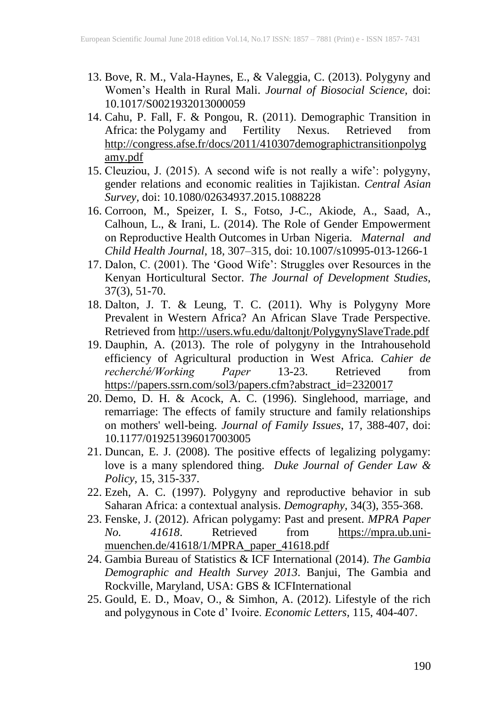- 13. Bove, R. M., Vala-Haynes, E., & Valeggia, C. (2013). Polygyny and Women's Health in Rural Mali. *Journal of Biosocial Science,* doi: 10.1017/S0021932013000059
- 14. Cahu, P. Fall, F. & Pongou, R. (2011). Demographic Transition in Africa: the Polygamy and Fertility Nexus. Retrieved from http://congress.afse.fr/docs/2011/410307demographictransitionpolyg amy.pdf
- 15. Cleuziou, J. (2015). A second wife is not really a wife': polygyny, gender relations and economic realities in Tajikistan. *Central Asian Survey,* doi: 10.1080/02634937.2015.1088228
- 16. Corroon, M., Speizer, I. S., Fotso, J-C., Akiode, A., Saad, A., Calhoun, L., & Irani, L. (2014). The Role of Gender Empowerment on Reproductive Health Outcomes in Urban Nigeria. *Maternal and Child Health Journal*, 18, 307–315, doi: 10.1007/s10995-013-1266-1
- 17. Dalon, C. (2001). The 'Good Wife': Struggles over Resources in the Kenyan Horticultural Sector. *The Journal of Development Studies,* 37(3), 51-70.
- 18. Dalton, J. T. & Leung, T. C. (2011). Why is Polygyny More Prevalent in Western Africa? An African Slave Trade Perspective. Retrieved from http://users.wfu.edu/daltonjt/PolygynySlaveTrade.pdf
- 19. Dauphin, A. (2013). The role of polygyny in the Intrahousehold efficiency of Agricultural production in West Africa. *Cahier de recherché/Working Paper* 13-23. Retrieved from https://papers.ssrn.com/sol3/papers.cfm?abstract\_id=2320017
- 20. Demo, D. H. & Acock, A. C. (1996). Singlehood, marriage, and remarriage: The effects of family structure and family relationships on mothers' well-being. *Journal of Family Issues*, 17, 388-407, doi: 10.1177/019251396017003005
- 21. Duncan, E. J. (2008). The positive effects of legalizing polygamy: love is a many splendored thing. *Duke Journal of Gender Law & Policy,* 15, 315-337.
- 22. Ezeh, A. C. (1997). Polygyny and reproductive behavior in sub Saharan Africa: a contextual analysis. *Demography,* 34(3), 355-368.
- 23. Fenske, J. (2012). African polygamy: Past and present. *MPRA Paper No. 41618*. Retrieved from https://mpra.ub.unimuenchen.de/41618/1/MPRA\_paper\_41618.pdf
- 24. Gambia Bureau of Statistics & ICF International (2014). *The Gambia Demographic and Health Survey 2013*. Banjui, The Gambia and Rockville, Maryland, USA: GBS & ICFInternational
- 25. Gould, E. D., Moav, O., & Simhon, A. (2012). Lifestyle of the rich and polygynous in Cote d' Ivoire. *Economic Letters,* 115, 404-407.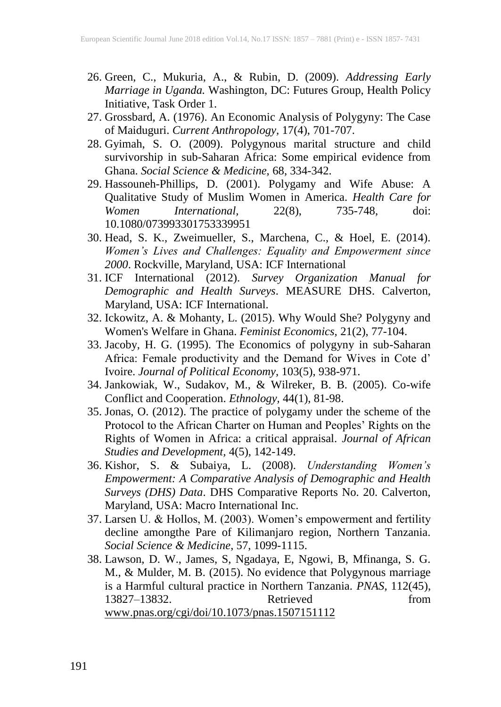- 26. Green, C., Mukuria, A., & Rubin, D. (2009). *Addressing Early Marriage in Uganda.* Washington, DC: Futures Group, Health Policy Initiative, Task Order 1.
- 27. Grossbard, A. (1976). An Economic Analysis of Polygyny: The Case of Maiduguri. *Current Anthropology,* 17(4), 701-707.
- 28. Gyimah, S. O. (2009). Polygynous marital structure and child survivorship in sub-Saharan Africa: Some empirical evidence from Ghana. *Social Science & Medicine,* 68, 334-342.
- 29. Hassouneh-Phillips, D. (2001). Polygamy and Wife Abuse: A Qualitative Study of Muslim Women in America. *Health Care for Women International,* 22(8), 735-748, doi: 10.1080/073993301753339951
- 30. Head, S. K., Zweimueller, S., Marchena, C., & Hoel, E. (2014). *Women's Lives and Challenges: Equality and Empowerment since 2000*. Rockville, Maryland, USA: ICF International
- 31. ICF International (2012). *Survey Organization Manual for Demographic and Health Surveys*. MEASURE DHS. Calverton, Maryland, USA: ICF International.
- 32. Ickowitz, A. & Mohanty, L. (2015). Why Would She? Polygyny and Women's Welfare in Ghana. *Feminist Economics,* 21(2), 77-104.
- 33. Jacoby, H. G. (1995). The Economics of polygyny in sub-Saharan Africa: Female productivity and the Demand for Wives in Cote d' Ivoire. *Journal of Political Economy,* 103(5), 938-971.
- 34. Jankowiak, W., Sudakov, M., & Wilreker, B. B. (2005). Co-wife Conflict and Cooperation. *Ethnology,* 44(1), 81-98.
- 35. Jonas, O. (2012). The practice of polygamy under the scheme of the Protocol to the African Charter on Human and Peoples' Rights on the Rights of Women in Africa: a critical appraisal. *Journal of African Studies and Development,* 4(5), 142-149.
- 36. Kishor, S. & Subaiya, L. (2008). *Understanding Women's Empowerment: A Comparative Analysis of Demographic and Health Surveys (DHS) Data*. DHS Comparative Reports No. 20. Calverton, Maryland, USA: Macro International Inc.
- 37. Larsen U. & Hollos, M. (2003). Women's empowerment and fertility decline amongthe Pare of Kilimanjaro region, Northern Tanzania. *Social Science & Medicine*, 57, 1099-1115.
- 38. Lawson, D. W., James, S, Ngadaya, E, Ngowi, B, Mfinanga, S. G. M., & Mulder, M. B. (2015). No evidence that Polygynous marriage is a Harmful cultural practice in Northern Tanzania. *PNAS,* 112(45), 13827–13832. Retrieved from www.pnas.org/cgi/doi/10.1073/pnas.1507151112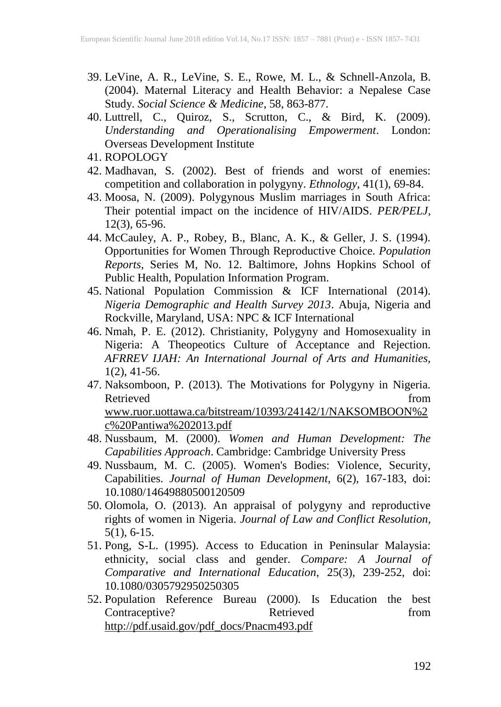- 39. LeVine, A. R., LeVine, S. E., Rowe, M. L., & Schnell-Anzola, B. (2004). Maternal Literacy and Health Behavior: a Nepalese Case Study. *Social Science & Medicine*, 58, 863-877.
- 40. Luttrell, C., Quiroz, S., Scrutton, C., & Bird, K. (2009). *Understanding and Operationalising Empowerment*. London: Overseas Development Institute
- 41. ROPOLOGY
- 42. Madhavan, S. (2002). Best of friends and worst of enemies: competition and collaboration in polygyny. *Ethnology,* 41(1), 69-84.
- 43. Moosa, N. (2009). Polygynous Muslim marriages in South Africa: Their potential impact on the incidence of HIV/AIDS. *PER/PELJ,* 12(3), 65-96.
- 44. McCauley, A. P., Robey, B., Blanc, A. K., & Geller, J. S. (1994). Opportunities for Women Through Reproductive Choice. *Population Reports*, Series M, No. 12. Baltimore, Johns Hopkins School of Public Health, Population Information Program.
- 45. National Population Commission & ICF International (2014). *Nigeria Demographic and Health Survey 2013*. Abuja, Nigeria and Rockville, Maryland, USA: NPC & ICF International
- 46. Nmah, P. E. (2012). Christianity, Polygyny and Homosexuality in Nigeria: A Theopeotics Culture of Acceptance and Rejection. *AFRREV IJAH: An International Journal of Arts and Humanities,* 1(2), 41-56.
- 47. Naksomboon, P. (2013). The Motivations for Polygyny in Nigeria. Retrieved from the contract of the contract of the contract of the contract of the contract of the contract of the contract of the contract of the contract of the contract of the contract of the contract of the contract of www.ruor.uottawa.ca/bitstream/10393/24142/1/NAKSOMBOON%2 c%20Pantiwa%202013.pdf
- 48. Nussbaum, M. (2000). *Women and Human Development: The Capabilities Approach*. Cambridge: Cambridge University Press
- 49. Nussbaum, M. C. (2005). Women's Bodies: Violence, Security, Capabilities. *Journal of Human Development,* 6(2), 167-183, doi: 10.1080/14649880500120509
- 50. Olomola, O. (2013). An appraisal of polygyny and reproductive rights of women in Nigeria. *Journal of Law and Conflict Resolution,* 5(1), 6-15.
- 51. Pong, S-L. (1995). Access to Education in Peninsular Malaysia: ethnicity, social class and gender. *Compare: A Journal of Comparative and International Education*, 25(3), 239-252, doi: 10.1080/0305792950250305
- 52. Population Reference Bureau (2000). Is Education the best Contraceptive? Retrieved from http://pdf.usaid.gov/pdf\_docs/Pnacm493.pdf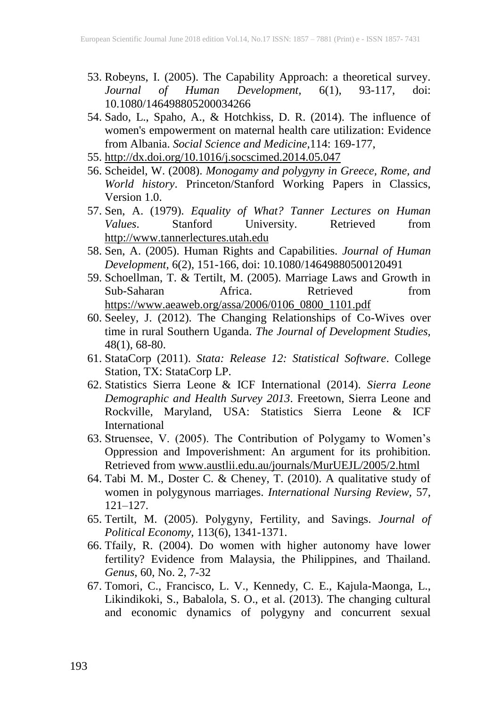- 53. Robeyns, I. (2005). The Capability Approach: a theoretical survey.<br>
Journal of Human Development. 6(1). 93-117. doi: *Journal of Human Development,* 6(1), 93-117, doi: 10.1080/146498805200034266
- 54. Sado, L., Spaho, A., & Hotchkiss, D. R. (2014). The influence of women's empowerment on maternal health care utilization: Evidence from Albania. *Social Science and Medicine,*114: 169-177,
- 55. http://dx.doi.org/10.1016/j.socscimed.2014.05.047
- 56. Scheidel, W. (2008). *Monogamy and polygyny in Greece, Rome, and World history*. Princeton/Stanford Working Papers in Classics, Version 1.0.
- 57. Sen, A. (1979). *Equality of What? Tanner Lectures on Human Values*. Stanford University. Retrieved from http://www.tannerlectures.utah.edu
- 58. Sen, A. (2005). Human Rights and Capabilities. *Journal of Human Development,* 6(2), 151-166, doi: 10.1080/14649880500120491
- 59. Schoellman, T. & Tertilt, M. (2005). Marriage Laws and Growth in Sub-Saharan Africa. Retrieved from https://www.aeaweb.org/assa/2006/0106\_0800\_1101.pdf
- 60. Seeley, J. (2012). The Changing Relationships of Co-Wives over time in rural Southern Uganda. *The Journal of Development Studies,* 48(1), 68-80.
- 61. StataCorp (2011). *Stata: Release 12: Statistical Software*. College Station, TX: StataCorp LP.
- 62. Statistics Sierra Leone & ICF International (2014). *Sierra Leone Demographic and Health Survey 2013*. Freetown, Sierra Leone and Rockville, Maryland, USA: Statistics Sierra Leone & ICF International
- 63. Struensee, V. (2005). The Contribution of Polygamy to Women's Oppression and Impoverishment: An argument for its prohibition. Retrieved from www.austlii.edu.au/journals/MurUEJL/2005/2.html
- 64. Tabi M. M., Doster C. & Cheney, T. (2010). A qualitative study of women in polygynous marriages. *International Nursing Review,* 57, 121–127.
- 65. Tertilt, M. (2005). Polygyny, Fertility, and Savings. *Journal of Political Economy,* 113(6), 1341-1371.
- 66. Tfaily, R. (2004). Do women with higher autonomy have lower fertility? Evidence from Malaysia, the Philippines, and Thailand. *Genus*, 60, No. 2, 7-32
- 67. Tomori, C., Francisco, L. V., Kennedy, C. E., Kajula-Maonga, L., Likindikoki, S., Babalola, S. O., et al. (2013). The changing cultural and economic dynamics of polygyny and concurrent sexual